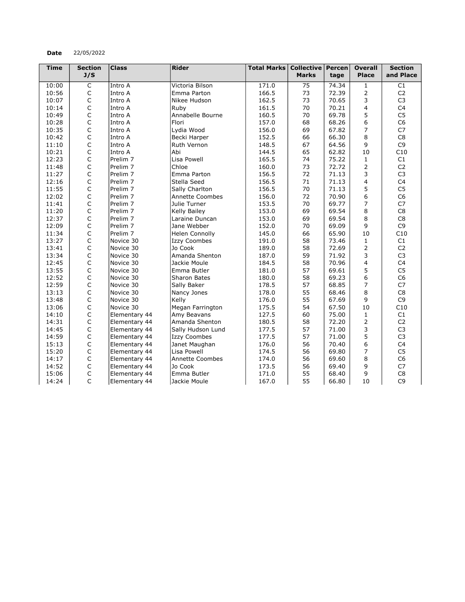## Date 22/05/2022

| <b>Time</b> | <b>Section</b> | <b>Class</b>        | Rider                 | <b>Total Marks</b> | <b>Collective</b> | $ $ Percen $ $ | <b>Overall</b> | <b>Section</b> |
|-------------|----------------|---------------------|-----------------------|--------------------|-------------------|----------------|----------------|----------------|
|             | J/S            |                     |                       |                    | <b>Marks</b>      | tage           | <b>Place</b>   | and Place      |
| 10:00       | $\overline{C}$ | Intro A             | Victoria Bilson       | 171.0              | 75                | 74.34          | $\mathbf{1}$   | C1             |
| 10:56       | $\mathsf C$    | Intro A             | Emma Parton           | 166.5              | 73                | 72.39          | 2              | C <sub>2</sub> |
| 10:07       | $\mathsf C$    | Intro A             | Nikee Hudson          | 162.5              | 73                | 70.65          | 3              | C <sub>3</sub> |
| 10:14       | $\mathsf C$    | Intro A             | Ruby                  | 161.5              | 70                | 70.21          | $\overline{4}$ | C <sub>4</sub> |
| 10:49       | $\mathsf C$    | Intro A             | Annabelle Bourne      | 160.5              | 70                | 69.78          | 5              | C <sub>5</sub> |
| 10:28       | $\mathsf C$    | Intro A             | Flori                 | 157.0              | 68                | 68.26          | 6              | C <sub>6</sub> |
| 10:35       | $\mathsf C$    | Intro A             | Lydia Wood            | 156.0              | 69                | 67.82          | $\overline{7}$ | C7             |
| 10:42       | $\mathsf{C}$   | Intro A             | Becki Harper          | 152.5              | 66                | 66.30          | 8              | C8             |
| 11:10       | $\mathsf C$    | Intro A             | Ruth Vernon           | 148.5              | 67                | 64.56          | 9              | C <sub>9</sub> |
| 10:21       | $\mathsf C$    | Intro A             | Abi                   | 144.5              | 65                | 62.82          | 10             | C10            |
| 12:23       | $\mathsf C$    | Prelim <sub>7</sub> | Lisa Powell           | 165.5              | 74                | 75.22          | 1              | C1             |
| 11:48       | $\mathsf C$    | Prelim <sub>7</sub> | Chloe                 | 160.0              | 73                | 72.72          | $\overline{2}$ | C <sub>2</sub> |
| 11:27       | $\mathsf C$    | Prelim <sub>7</sub> | Emma Parton           | 156.5              | 72                | 71.13          | 3              | C <sub>3</sub> |
| 12:16       | C              | Prelim <sub>7</sub> | Stella Seed           | 156.5              | 71                | 71.13          | 4              | C <sub>4</sub> |
| 11:55       | $\mathsf C$    | Prelim <sub>7</sub> | Sally Charlton        | 156.5              | 70                | 71.13          | 5              | C <sub>5</sub> |
| 12:02       | $\mathsf C$    | Prelim <sub>7</sub> | Annette Coombes       | 156.0              | 72                | 70.90          | 6              | C <sub>6</sub> |
| 11:41       | $\mathsf C$    | Prelim <sub>7</sub> | Julie Turner          | 153.5              | 70                | 69.77          | 7              | C7             |
| 11:20       | $\mathsf C$    | Prelim <sub>7</sub> | Kelly Bailey          | 153.0              | 69                | 69.54          | 8              | C <sub>8</sub> |
| 12:37       | $\mathsf C$    | Prelim <sub>7</sub> | Laraine Duncan        | 153.0              | 69                | 69.54          | 8              | C <sub>8</sub> |
| 12:09       | $\mathsf C$    | Prelim <sub>7</sub> | Jane Webber           | 152.0              | 70                | 69.09          | 9              | C <sub>9</sub> |
| 11:34       | $\mathsf C$    | Prelim <sub>7</sub> | <b>Helen Connolly</b> | 145.0              | 66                | 65.90          | 10             | C10            |
| 13:27       | $\mathsf C$    | Novice 30           | <b>Izzy Coombes</b>   | 191.0              | 58                | 73.46          | $\mathbf{1}$   | C1             |
| 13:41       | $\mathsf C$    | Novice 30           | Jo Cook               | 189.0              | 58                | 72.69          | 2              | C <sub>2</sub> |
| 13:34       | $\mathsf C$    | Novice 30           | Amanda Shenton        | 187.0              | 59                | 71.92          | 3              | C <sub>3</sub> |
| 12:45       | $\mathsf C$    | Novice 30           | Jackie Moule          | 184.5              | 58                | 70.96          | $\overline{4}$ | C4             |
| 13:55       | $\mathsf C$    | Novice 30           | Emma Butler           | 181.0              | 57                | 69.61          | 5              | C <sub>5</sub> |
| 12:52       | $\mathsf C$    | Novice 30           | <b>Sharon Bates</b>   | 180.0              | 58                | 69.23          | 6              | C <sub>6</sub> |
| 12:59       | $\mathsf C$    | Novice 30           | Sally Baker           | 178.5              | 57                | 68.85          | 7              | C7             |
| 13:13       | $\mathsf C$    | Novice 30           | Nancy Jones           | 178.0              | 55                | 68.46          | 8              | C <sub>8</sub> |
| 13:48       | $\mathsf C$    | Novice 30           | Kelly                 | 176.0              | 55                | 67.69          | 9              | C <sub>9</sub> |
| 13:06       | $\mathsf C$    | Novice 30           | Megan Farrington      | 175.5              | 54                | 67.50          | 10             | C10            |
| 14:10       | $\mathsf C$    | Elementary 44       | Amy Beavans           | 127.5              | 60                | 75.00          | $\mathbf{1}$   | C1             |
| 14:31       | $\mathsf C$    | Elementary 44       | Amanda Shenton        | 180.5              | 58                | 72.20          | $\overline{2}$ | C <sub>2</sub> |
| 14:45       | $\mathsf C$    | Elementary 44       | Sally Hudson Lund     | 177.5              | 57                | 71.00          | 3              | C <sub>3</sub> |
| 14:59       | $\mathsf C$    | Elementary 44       | <b>Izzy Coombes</b>   | 177.5              | 57                | 71.00          | 5              | C <sub>3</sub> |
| 15:13       | $\mathsf C$    | Elementary 44       | Janet Maughan         | 176.0              | 56                | 70.40          | 6              | C <sub>4</sub> |
| 15:20       | $\mathsf C$    | Elementary 44       | Lisa Powell           | 174.5              | 56                | 69.80          | 7              | C <sub>5</sub> |
| 14:17       | $\mathsf C$    | Elementary 44       | Annette Coombes       | 174.0              | 56                | 69.60          | 8              | C <sub>6</sub> |
| 14:52       | $\mathsf C$    | Elementary 44       | Jo Cook               | 173.5              | 56                | 69.40          | 9              | C <sub>7</sub> |
| 15:06       | $\mathsf C$    | Elementary 44       | Emma Butler           | 171.0              | 55                | 68.40          | 9              | C8             |
| 14:24       | $\mathsf{C}$   | Elementary 44       | Jackie Moule          | 167.0              | 55                | 66.80          | 10             | C <sub>9</sub> |